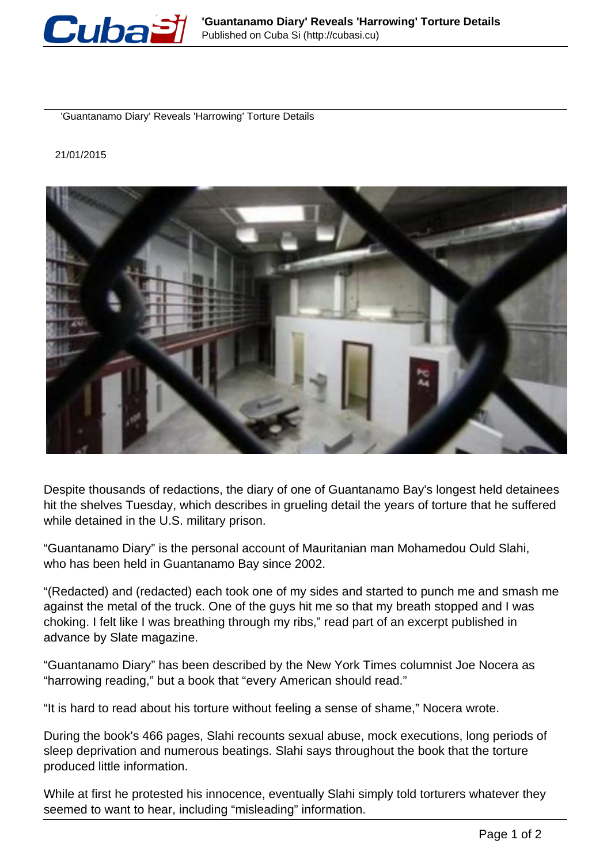

'Guantanamo Diary' Reveals 'Harrowing' Torture Details

21/01/2015



Despite thousands of redactions, the diary of one of Guantanamo Bay's longest held detainees hit the shelves Tuesday, which describes in grueling detail the years of torture that he suffered while detained in the U.S. military prison.

"Guantanamo Diary" is the personal account of Mauritanian man Mohamedou Ould Slahi, who has been held in Guantanamo Bay since 2002.

"(Redacted) and (redacted) each took one of my sides and started to punch me and smash me against the metal of the truck. One of the guys hit me so that my breath stopped and I was choking. I felt like I was breathing through my ribs," read part of an excerpt published in advance by Slate magazine.

"Guantanamo Diary" has been described by the New York Times columnist Joe Nocera as "harrowing reading," but a book that "every American should read."

"It is hard to read about his torture without feeling a sense of shame," Nocera wrote.

During the book's 466 pages, Slahi recounts sexual abuse, mock executions, long periods of sleep deprivation and numerous beatings. Slahi says throughout the book that the torture produced little information.

While at first he protested his innocence, eventually Slahi simply told torturers whatever they seemed to want to hear, including "misleading" information.